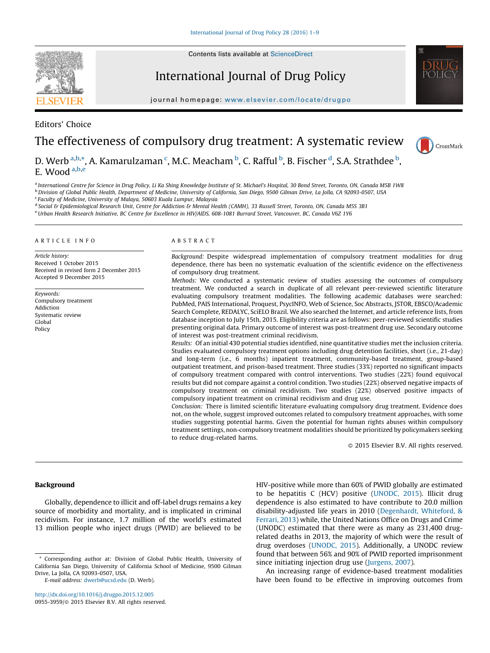Contents lists available at [ScienceDirect](http://www.sciencedirect.com/science/journal/09553959)



Editors' Choice

International Journal of Drug Policy

journal homepage: www.elsevier.com/locate/drugpo





# The effectiveness of compulsory drug treatment: A systematic review

D. Werb <sup>a,b,</sup>\*, A. Kamarulzaman <sup>c</sup>, M.C. Meacham <sup>b</sup>, C. Rafful <sup>b</sup>, B. Fischer <sup>d</sup>, S.A. Strathdee <sup>b</sup>, E. Wood a, b, e

a International Centre for Science in Drug Policy, Li Ka Shing Knowledge Institute of St. Michael's Hospital, 30 Bond Street, Toronto, ON, Canada M5B 1W8 <sup>b</sup> Division of Global Public Health, Department of Medicine, University of California, San Diego, 9500 Gilman Drive, La Jolla, CA 92093-0507, USA <sup>c</sup> Faculty of Medicine, University of Malaya, 50603 Kuala Lumpur, Malaysia

d Social & Epidemiological Research Unit, Centre for Addiction & Mental Health (CAMH), 33 Russell Street, Toronto, ON, Canada M5S 3B1

e Urban Health Research Initiative, BC Centre for Excellence in HIV/AIDS, 608-1081 Burrard Street, Vancouver, BC, Canada V6Z 1Y6

### A R T I C L E I N F O

Article history: Received 1 October 2015 Received in revised form 2 December 2015 Accepted 9 December 2015

Keywords: Compulsory treatment Addiction Systematic review Global Policy

### A B S T R A C T

Background: Despite widespread implementation of compulsory treatment modalities for drug dependence, there has been no systematic evaluation of the scientific evidence on the effectiveness of compulsory drug treatment.

Methods: We conducted a systematic review of studies assessing the outcomes of compulsory treatment. We conducted a search in duplicate of all relevant peer-reviewed scientific literature evaluating compulsory treatment modalities. The following academic databases were searched: PubMed, PAIS International, Proquest, PsycINFO, Web of Science, Soc Abstracts, JSTOR, EBSCO/Academic Search Complete, REDALYC, SciELO Brazil. We also searched the Internet, and article reference lists, from database inception to July 15th, 2015. Eligibility criteria are as follows: peer-reviewed scientific studies presenting original data. Primary outcome of interest was post-treatment drug use. Secondary outcome of interest was post-treatment criminal recidivism.

Results: Of an initial 430 potential studies identified, nine quantitative studies met the inclusion criteria. Studies evaluated compulsory treatment options including drug detention facilities, short (i.e., 21-day) and long-term (i.e., 6 months) inpatient treatment, community-based treatment, group-based outpatient treatment, and prison-based treatment. Three studies (33%) reported no significant impacts of compulsory treatment compared with control interventions. Two studies (22%) found equivocal results but did not compare against a control condition. Two studies (22%) observed negative impacts of compulsory treatment on criminal recidivism. Two studies (22%) observed positive impacts of compulsory inpatient treatment on criminal recidivism and drug use.

Conclusion: There is limited scientific literature evaluating compulsory drug treatment. Evidence does not, on the whole, suggest improved outcomes related to compulsory treatment approaches, with some studies suggesting potential harms. Given the potential for human rights abuses within compulsory treatment settings, non-compulsory treatment modalities should be prioritized by policymakers seeking to reduce drug-related harms.

- 2015 Elsevier B.V. All rights reserved.

# Background

Globally, dependence to illicit and off-label drugs remains a key source of morbidity and mortality, and is implicated in criminal recidivism. For instance, 1.7 million of the world's estimated 13 million people who inject drugs (PWID) are believed to be

E-mail address: [dwerb@ucsd.edu](mailto:dwerb@ucsd.edu) (D. Werb).

<http://dx.doi.org/10.1016/j.drugpo.2015.12.005> 0955-3959/© 2015 Elsevier B.V. All rights reserved. HIV-positive while more than 60% of PWID globally are estimated to be hepatitis C (HCV) positive [\(UNODC,](#page-7-0) 2015). Illicit drug dependence is also estimated to have contribute to 20.0 million disability-adjusted life years in 2010 [\(Degenhardt,](#page-7-0) Whiteford, & [Ferrari,](#page-7-0) 2013) while, the United Nations Office on Drugs and Crime (UNODC) estimated that there were as many as 231,400 drugrelated deaths in 2013, the majority of which were the result of drug overdoses ([UNODC,](#page-7-0) 2015). Additionally, a UNODC review found that between 56% and 90% of PWID reported imprisonment since initiating injection drug use [\(Jurgens,](#page-7-0) 2007).

An increasing range of evidence-based treatment modalities have been found to be effective in improving outcomes from

Corresponding author at: Division of Global Public Health, University of California San Diego, University of California School of Medicine, 9500 Gilman Drive, La Jolla, CA 92093-0507, USA.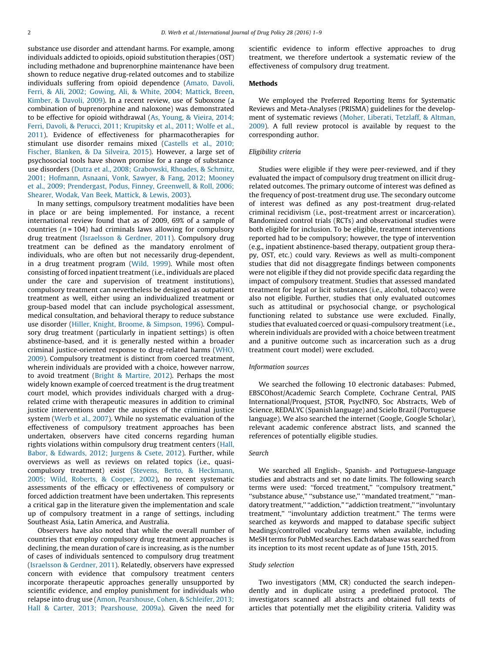substance use disorder and attendant harms. For example, among individuals addicted to opioids, opioid substitution therapies (OST) including methadone and buprenorphine maintenance have been shown to reduce negative drug-related outcomes and to stabilize individuals suffering from opioid dependence [\(Amato,](#page-7-0) Davoli, Ferri, & Ali, 2002; [Gowing,](#page-7-0) Ali, & White, 2004; Mattick, Breen, [Kimber,](#page-7-0) & Davoli, 2009). In a recent review, use of Suboxone (a combination of buprenorphine and naloxone) was demonstrated to be effective for opioid withdrawal (As, [Young,](#page-7-0) & Vieira, 2014; Ferri, Davoli, & Perucci, 2011; [Krupitsky](#page-7-0) et al., 2011; Wolfe et al., [2011\)](#page-7-0). Evidence of effectiveness for pharmacotherapies for stimulant use disorder remains mixed ([Castells](#page-7-0) et al., 2010; Fischer, [Blanken,](#page-7-0) & Da Silveira, 2015). However, a large set of psychosocial tools have shown promise for a range of substance use disorders (Dutra et al., 2008; [Grabowski,](#page-7-0) Rhoades, & Schmitz, 2001; [Hofmann,](#page-7-0) Asnaani, Vonk, Sawyer, & Fang, 2012; Mooney et al., 2009; [Prendergast,](#page-7-0) Podus, Finney, Greenwell, & Roll, 2006; Shearer, Wodak, Van Beek, [Mattick,](#page-7-0) & Lewis, 2003).

In many settings, compulsory treatment modalities have been in place or are being implemented. For instance, a recent international review found that as of 2009, 69% of a sample of countries ( $n = 104$ ) had criminals laws allowing for compulsory drug treatment ([Israelsson](#page-7-0) & Gerdner, 2011). Compulsory drug treatment can be defined as the mandatory enrolment of individuals, who are often but not necessarily drug-dependent, in a drug treatment program [\(Wild,](#page-7-0) 1999). While most often consisting of forced inpatient treatment (i.e., individuals are placed under the care and supervision of treatment institutions), compulsory treatment can nevertheless be designed as outpatient treatment as well, either using an individualized treatment or group-based model that can include psychological assessment, medical consultation, and behavioral therapy to reduce substance use disorder (Hiller, Knight, Broome, & [Simpson,](#page-7-0) 1996). Compulsory drug treatment (particularly in inpatient settings) is often abstinence-based, and it is generally nested within a broader criminal justice-oriented response to drug-related harms [\(WHO,](#page-7-0) [2009\)](#page-7-0). Compulsory treatment is distinct from coerced treatment, wherein individuals are provided with a choice, however narrow, to avoid treatment (Bright & [Martire,](#page-8-0) 2012). Perhaps the most widely known example of coerced treatment is the drug treatment court model, which provides individuals charged with a drugrelated crime with therapeutic measures in addition to criminal justice interventions under the auspices of the criminal justice system [\(Werb](#page-8-0) et al., 2007). While no systematic evaluation of the effectiveness of compulsory treatment approaches has been undertaken, observers have cited concerns regarding human rights violations within compulsory drug treatment centers [\(Hall,](#page-8-0) Babor, & [Edwards,](#page-8-0) 2012; Jurgens & Csete, 2012). Further, while overviews as well as reviews on related topics (i.e., quasicompulsory treatment) exist (Stevens, Berto, & [Heckmann,](#page-8-0) 2005; Wild, [Roberts,](#page-8-0) & Cooper, 2002), no recent systematic assessments of the efficacy or effectiveness of compulsory or forced addiction treatment have been undertaken. This represents a critical gap in the literature given the implementation and scale up of compulsory treatment in a range of settings, including Southeast Asia, Latin America, and Australia.

Observers have also noted that while the overall number of countries that employ compulsory drug treatment approaches is declining, the mean duration of care is increasing, as is the number of cases of individuals sentenced to compulsory drug treatment ([Israelsson](#page-7-0) & Gerdner, 2011). Relatedly, observers have expressed concern with evidence that compulsory treatment centers incorporate therapeutic approaches generally unsupported by scientific evidence, and employ punishment for individuals who relapse into drug use (Amon, [Pearshouse,](#page-8-0) Cohen, & Schleifer, 2013; Hall & Carter, 2013; [Pearshouse,](#page-8-0) 2009a). Given the need for

scientific evidence to inform effective approaches to drug treatment, we therefore undertook a systematic review of the effectiveness of compulsory drug treatment.

## Methods

We employed the Preferred Reporting Items for Systematic Reviews and Meta-Analyses (PRISMA) guidelines for the development of systematic reviews (Moher, [Liberati,](#page-8-0) Tetzlaff, & Altman, [2009\)](#page-8-0). A full review protocol is available by request to the corresponding author.

## Eligibility criteria

Studies were eligible if they were peer-reviewed, and if they evaluated the impact of compulsory drug treatment on illicit drugrelated outcomes. The primary outcome of interest was defined as the frequency of post-treatment drug use. The secondary outcome of interest was defined as any post-treatment drug-related criminal recidivism (i.e., post-treatment arrest or incarceration). Randomized control trials (RCTs) and observational studies were both eligible for inclusion. To be eligible, treatment interventions reported had to be compulsory; however, the type of intervention (e.g., inpatient abstinence-based therapy, outpatient group therapy, OST, etc.) could vary. Reviews as well as multi-component studies that did not disaggregate findings between components were not eligible if they did not provide specific data regarding the impact of compulsory treatment. Studies that assessed mandated treatment for legal or licit substances (i.e., alcohol, tobacco) were also not eligible. Further, studies that only evaluated outcomes such as attitudinal or psychosocial change, or psychological functioning related to substance use were excluded. Finally, studies that evaluated coerced or quasi-compulsory treatment(i.e., wherein individuals are provided with a choice between treatment and a punitive outcome such as incarceration such as a drug treatment court model) were excluded.

### Information sources

We searched the following 10 electronic databases: Pubmed, EBSCOhost/Academic Search Complete, Cochrane Central, PAIS International/Proquest, JSTOR, PsycINFO, Soc Abstracts, Web of Science, REDALYC (Spanish language) and Scielo Brazil (Portuguese language). We also searched the internet (Google, Google Scholar), relevant academic conference abstract lists, and scanned the references of potentially eligible studies.

## Search

We searched all English-, Spanish- and Portuguese-language studies and abstracts and set no date limits. The following search terms were used: ''forced treatment,'' ''compulsory treatment,'' ''substance abuse,'' ''substance use,'' ''mandated treatment,'' ''mandatory treatment,'' ''addiction,'' ''addiction treatment,'' ''involuntary treatment,'' ''involuntary addiction treatment.'' The terms were searched as keywords and mapped to database specific subject headings/controlled vocabulary terms when available, including MeSH terms for PubMed searches. Each database was searched from its inception to its most recent update as of June 15th, 2015.

#### Study selection

Two investigators (MM, CR) conducted the search independently and in duplicate using a predefined protocol. The investigators scanned all abstracts and obtained full texts of articles that potentially met the eligibility criteria. Validity was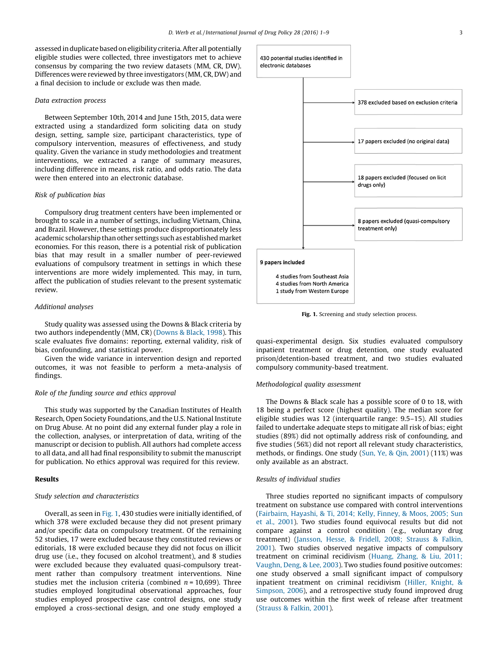assessed in duplicate based on eligibility criteria. After all potentially eligible studies were collected, three investigators met to achieve consensus by comparing the two review datasets (MM, CR, DW). Differences were reviewed by three investigators (MM, CR, DW) and a final decision to include or exclude was then made.

## Data extraction process

Between September 10th, 2014 and June 15th, 2015, data were extracted using a standardized form soliciting data on study design, setting, sample size, participant characteristics, type of compulsory intervention, measures of effectiveness, and study quality. Given the variance in study methodologies and treatment interventions, we extracted a range of summary measures, including difference in means, risk ratio, and odds ratio. The data were then entered into an electronic database.

## Risk of publication bias

Compulsory drug treatment centers have been implemented or brought to scale in a number of settings, including Vietnam, China, and Brazil. However, these settings produce disproportionately less academic scholarship thanother settings such as established market economies. For this reason, there is a potential risk of publication bias that may result in a smaller number of peer-reviewed evaluations of compulsory treatment in settings in which these interventions are more widely implemented. This may, in turn, affect the publication of studies relevant to the present systematic review.

## Additional analyses

Study quality was assessed using the Downs & Black criteria by two authors independently (MM, CR) ([Downs](#page-8-0) & Black, 1998). This scale evaluates five domains: reporting, external validity, risk of bias, confounding, and statistical power.

Given the wide variance in intervention design and reported outcomes, it was not feasible to perform a meta-analysis of findings.

## Role of the funding source and ethics approval

This study was supported by the Canadian Institutes of Health Research, Open Society Foundations, and the U.S. National Institute on Drug Abuse. At no point did any external funder play a role in the collection, analyses, or interpretation of data, writing of the manuscript or decision to publish. All authors had complete access to all data, and all had final responsibility to submit the manuscript for publication. No ethics approval was required for this review.

## Results

## Study selection and characteristics

Overall, as seen in Fig. 1, 430 studies were initially identified, of which 378 were excluded because they did not present primary and/or specific data on compulsory treatment. Of the remaining 52 studies, 17 were excluded because they constituted reviews or editorials, 18 were excluded because they did not focus on illicit drug use (i.e., they focused on alcohol treatment), and 8 studies were excluded because they evaluated quasi-compulsory treatment rather than compulsory treatment interventions. Nine studies met the inclusion criteria (combined  $n = 10,699$ ). Three studies employed longitudinal observational approaches, four studies employed prospective case control designs, one study employed a cross-sectional design, and one study employed a



Fig. 1. Screening and study selection process.

quasi-experimental design. Six studies evaluated compulsory inpatient treatment or drug detention, one study evaluated prison/detention-based treatment, and two studies evaluated compulsory community-based treatment.

## Methodological quality assessment

The Downs & Black scale has a possible score of 0 to 18, with 18 being a perfect score (highest quality). The median score for eligible studies was 12 (interquartile range: 9.5–15). All studies failed to undertake adequate steps to mitigate all risk of bias; eight studies (89%) did not optimally address risk of confounding, and five studies (56%) did not report all relevant study characteristics, methods, or findings. One study (Sun, Ye, & Qin, [2001](#page-8-0)) (11%) was only available as an abstract.

### Results of individual studies

Three studies reported no significant impacts of compulsory treatment on substance use compared with control interventions ([Fairbairn,](#page-8-0) Hayashi, & Ti, 2014; Kelly, Finney, & Moos, 2005; Sun et al., [2001](#page-8-0)). Two studies found equivocal results but did not compare against a control condition (e.g., voluntary drug treatment) ([Jansson,](#page-8-0) Hesse, & Fridell, 2008; Strauss & Falkin, [2001\)](#page-8-0). Two studies observed negative impacts of compulsory treatment on criminal recidivism ([Huang,](#page-8-0) Zhang, & Liu, 2011; [Vaughn,](#page-8-0) Deng, & Lee, 2003). Two studies found positive outcomes: one study observed a small significant impact of compulsory inpatient treatment on criminal recidivism (Hiller, [Knight,](#page-8-0) & [Simpson,](#page-8-0) 2006), and a retrospective study found improved drug use outcomes within the first week of release after treatment ([Strauss](#page-8-0) & Falkin, 2001).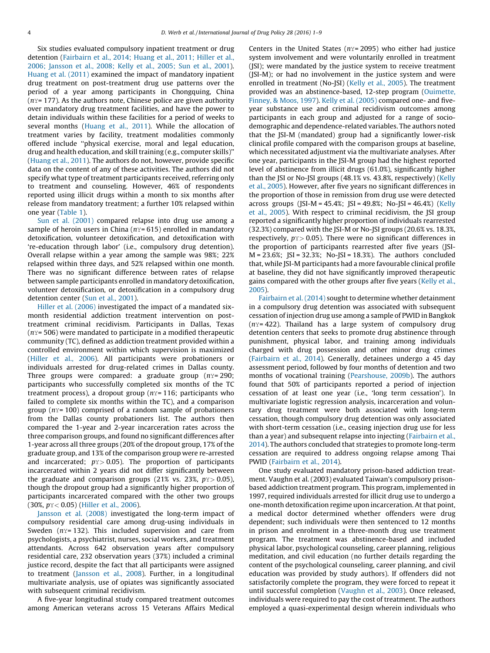Six studies evaluated compulsory inpatient treatment or drug detention ([Fairbairn](#page-8-0) et al., 2014; Huang et al., 2011; Hiller et al., 2006; [Jansson](#page-8-0) et al., 2008; Kelly et al., 2005; Sun et al., 2001). Huang et al. [\(2011\)](#page-8-0) examined the impact of mandatory inpatient drug treatment on post-treatment drug use patterns over the period of a year among participants in Chongquing, China  $(nY=177)$ . As the authors note, Chinese police are given authority over mandatory drug treatment facilities, and have the power to detain individuals within these facilities for a period of weeks to several months ([Huang](#page-8-0) et al., 2011). While the allocation of treatment varies by facility, treatment modalities commonly offered include ''physical exercise, moral and legal education, drug and health education, and skill training (e.g., computer skills)'' ([Huang](#page-8-0) et al., 2011). The authors do not, however, provide specific data on the content of any of these activities. The authors did not specify what type of treatment participants received, referring only to treatment and counseling. However, 46% of respondents reported using illicit drugs within a month to six months after release from mandatory treatment; a further 10% relapsed within one year ([Table](#page-4-0) 1).

Sun et al. [\(2001\)](#page-8-0) compared relapse into drug use among a sample of heroin users in China ( $n = 615$ ) enrolled in mandatory detoxification, volunteer detoxification, and detoxification with 're-education through labor' (i.e., compulsory drug detention). Overall relapse within a year among the sample was 98%; 22% relapsed within three days, and 52% relapsed within one month. There was no significant difference between rates of relapse between sample participants enrolled in mandatory detoxification, volunteer detoxification, or detoxification in a compulsory drug detention center (Sun et al., [2001](#page-8-0)).

Hiller et al. [\(2006\)](#page-8-0) investigated the impact of a mandated sixmonth residential addiction treatment intervention on posttreatment criminal recidivism. Participants in Dallas, Texas  $(n<sup>Y</sup>=506)$  were mandated to participate in a modified therapeutic community (TC), defined as addiction treatment provided within a controlled environment within which supervision is maximized ([Hiller](#page-8-0) et al., 2006). All participants were probationers or individuals arrested for drug-related crimes in Dallas county. Three groups were compared: a graduate group  $(n<sup>Y</sup>=290;$ participants who successfully completed six months of the TC treatment process), a dropout group ( $n = 116$ ; participants who failed to complete six months within the TC), and a comparison group ( $nY = 100$ ) comprised of a random sample of probationers from the Dallas county probationers list. The authors then compared the 1-year and 2-year incarceration rates across the three comparison groups, and found no significant differences after 1-year across all three groups (20% of the dropout group, 17% of the graduate group, and 13% of the comparison group were re-arrested and incarcerated;  $p$ *Y*  $>$  0.05). The proportion of participants incarcerated within 2 years did not differ significantly between the graduate and comparison groups (21% vs. 23%,  $p$ *Y* > 0.05), though the dropout group had a significantly higher proportion of participants incarcerated compared with the other two groups (30%,  $p$ *Y* < 0.05) [\(Hiller](#page-8-0) et al., 2006).

[Jansson](#page-8-0) et al. (2008) investigated the long-term impact of compulsory residential care among drug-using individuals in Sweden  $(n<sub>Y</sub>=132)$ . This included supervision and care from psychologists, a psychiatrist, nurses, social workers, and treatment attendants. Across 642 observation years after compulsory residential care, 232 observation years (37%) included a criminal justice record, despite the fact that all participants were assigned to treatment [\(Jansson](#page-8-0) et al., 2008). Further, in a longitudinal multivariate analysis, use of opiates was significantly associated with subsequent criminal recidivism.

A five-year longitudinal study compared treatment outcomes among American veterans across 15 Veterans Affairs Medical Centers in the United States ( $nY = 2095$ ) who either had justice system involvement and were voluntarily enrolled in treatment (JSI); were mandated by the justice system to receive treatment (JSI-M); or had no involvement in the justice system and were enrolled in treatment (No-JSI) ([Kelly](#page-8-0) et al., 2005). The treatment provided was an abstinence-based, 12-step program ([Ouimette,](#page-8-0) [Finney,](#page-8-0) & Moos, 1997). Kelly et al. [\(2005\)](#page-8-0) compared one- and fiveyear substance use and criminal recidivism outcomes among participants in each group and adjusted for a range of sociodemographic and dependence-related variables. The authors noted that the JSI-M (mandated) group had a significantly lower-risk clinical profile compared with the comparison groups at baseline, which necessitated adjustment via the multivariate analyses. After one year, participants in the JSI-M group had the highest reported level of abstinence from illicit drugs (61.0%), significantly higher than the JSI or No-JSI groups (48.1% vs. 43.8%, respectively) ([Kelly](#page-8-0) et al., [2005](#page-8-0)). However, after five years no significant differences in the proportion of those in remission from drug use were detected across groups (JSI-M = 45.4%; JSI = 49.8%; No-JSI = 46.4%) ([Kelly](#page-8-0) et al., [2005](#page-8-0)). With respect to criminal recidivism, the JSI group reported a significantly higher proportion of individuals rearrested (32.3%) compared with the JSI-M or No-JSI groups (20.6% vs. 18.3%, respectively,  $p_y > 0.05$ ). There were no significant differences in the proportion of participants rearrested after five years (JSI-M = 23.6%; JSI = 32.3%; No-JSI = 18.3%). The authors concluded that, while JSI-M participants had a more favourable clinical profile at baseline, they did not have significantly improved therapeutic gains compared with the other groups after five years [\(Kelly](#page-8-0) et al., [2005\)](#page-8-0).

[Fairbairn](#page-8-0) et al. (2014) sought to determine whether detainment in a compulsory drug detention was associated with subsequent cessation of injection drug use among a sample of PWID in Bangkok  $(n<sup>Y</sup>= 422)$ . Thailand has a large system of compulsory drug detention centers that seeks to promote drug abstinence through punishment, physical labor, and training among individuals charged with drug possession and other minor drug crimes ([Fairbairn](#page-8-0) et al., 2014). Generally, detainees undergo a 45 day assessment period, followed by four months of detention and two months of vocational training [\(Pearshouse,](#page-8-0) 2009b). The authors found that 50% of participants reported a period of injection cessation of at least one year (i.e., 'long term cessation'). In multivariate logistic regression analysis, incarceration and voluntary drug treatment were both associated with long-term cessation, though compulsory drug detention was only associated with short-term cessation (i.e., ceasing injection drug use for less than a year) and subsequent relapse into injecting [\(Fairbairn](#page-8-0) et al., [2014\)](#page-8-0). The authors concluded that strategies to promote long-term cessation are required to address ongoing relapse among Thai PWID [\(Fairbairn](#page-8-0) et al., 2014).

One study evaluated mandatory prison-based addiction treatment. Vaughn et al. (2003) evaluated Taiwan's compulsory prisonbased addiction treatment program. This program, implemented in 1997, required individuals arrested for illicit drug use to undergo a one-month detoxification regime upon incarceration. At that point, a medical doctor determined whether offenders were drug dependent; such individuals were then sentenced to 12 months in prison and enrolment in a three-month drug use treatment program. The treatment was abstinence-based and included physical labor, psychological counseling, career planning, religious meditation, and civil education (no further details regarding the content of the psychological counseling, career planning, and civil education was provided by study authors). If offenders did not satisfactorily complete the program, they were forced to repeat it until successful completion ([Vaughn](#page-8-0) et al., 2003). Once released, individuals were required to pay the cost of treatment. The authors employed a quasi-experimental design wherein individuals who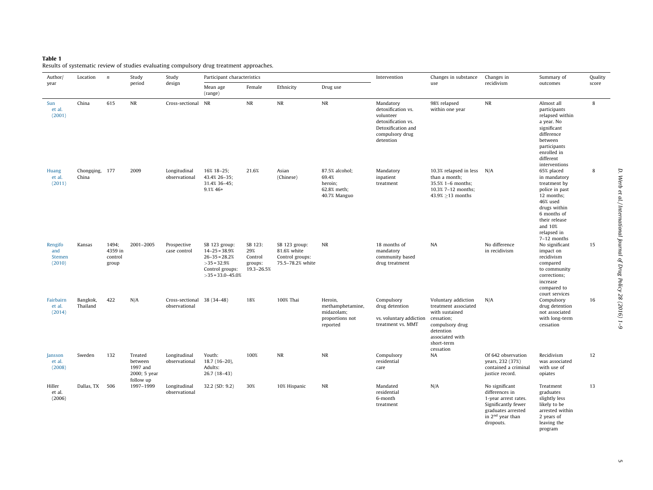## <span id="page-4-0"></span>Table 1

| Author/                            | Location                | $\boldsymbol{n}$                     | Study                                                       | Study                                       | Participant characteristics                                                                                         |                                                    |                                                                     |                                                                          | Intervention                                                                                                             | Changes in substance                                                                                                                                      | Changes in                                                                                                                               | Summary of                                                                                                                                                                      | Quality |
|------------------------------------|-------------------------|--------------------------------------|-------------------------------------------------------------|---------------------------------------------|---------------------------------------------------------------------------------------------------------------------|----------------------------------------------------|---------------------------------------------------------------------|--------------------------------------------------------------------------|--------------------------------------------------------------------------------------------------------------------------|-----------------------------------------------------------------------------------------------------------------------------------------------------------|------------------------------------------------------------------------------------------------------------------------------------------|---------------------------------------------------------------------------------------------------------------------------------------------------------------------------------|---------|
| year                               |                         |                                      | period                                                      | design                                      | Mean age<br>(range)                                                                                                 | Female                                             | Ethnicity                                                           | Drug use                                                                 |                                                                                                                          | use                                                                                                                                                       | recidivism                                                                                                                               | outcomes                                                                                                                                                                        | score   |
| Sun<br>et al.<br>(2001)            | China                   | 615                                  | NR                                                          | Cross-sectional NR                          |                                                                                                                     | $\rm NR$                                           | <b>NR</b>                                                           | <b>NR</b>                                                                | Mandatory<br>detoxification vs.<br>volunteer<br>detoxification vs.<br>Detoxification and<br>compulsory drug<br>detention | 98% relapsed<br>within one year                                                                                                                           | <b>NR</b>                                                                                                                                | Almost all<br>participants<br>relapsed within<br>a year. No<br>significant<br>difference<br>between<br>participants<br>enrolled in<br>different<br>interventions                | 8       |
| Huang<br>et al.<br>(2011)          | Chongqing, 177<br>China |                                      | 2009                                                        | Longitudinal<br>observational               | 16% 18-25;<br>43.4% 26-35:<br>31.4% 36-45;<br>$9.1\%$ 46+                                                           | 21.6%                                              | Asian<br>(Chinese)                                                  | 87.5% alcohol;<br>69.4%<br>heroin;<br>62.8% meth;<br>40.7% Manguo        | Mandatory<br>inpatient<br>treatment                                                                                      | 10.3% relapsed in less N/A<br>than a month:<br>35.5% 1-6 months;<br>10.3% 7-12 months;<br>$43.9% > 13$ months                                             |                                                                                                                                          | 65% placed<br>in mandatory<br>treatment by<br>police in past<br>12 months;<br>46% used<br>drugs within<br>6 months of<br>their release<br>and 10%<br>relapsed in<br>7-12 months | 8       |
| Rengifo<br>and<br>Stemen<br>(2010) | Kansas                  | 1494;<br>4359 in<br>control<br>group | 2001-2005                                                   | Prospective<br>case control                 | SB 123 group:<br>$14 - 25 = 38.9%$<br>$26 - 35 = 28.2%$<br>$>35 = 32.9%$<br>Control groups:<br>$>35 = 33.0 - 45.0%$ | SB 123:<br>29%<br>Control<br>groups:<br>19.3-26.5% | SB 123 group:<br>81.6% white<br>Control groups:<br>75.5-78.2% white | <b>NR</b>                                                                | 18 months of<br>mandatory<br>community based<br>drug treatment                                                           | NA                                                                                                                                                        | No difference<br>in recidivism                                                                                                           | No significant<br>impact on<br>recidivism<br>compared<br>to community<br>corrections;<br>increase<br>compared to<br>court services                                              | 15      |
| Fairbairn<br>et al.<br>(2014)      | Bangkok,<br>Thailand    | 422                                  | N/A                                                         | Cross-sectional 38 (34-48)<br>observational |                                                                                                                     | 18%                                                | 100% Thai                                                           | Heroin,<br>methamphetamine,<br>midazolam;<br>proportions not<br>reported | Compulsory<br>drug detention<br>vs. voluntary addiction<br>treatment vs. MMT                                             | Voluntary addiction<br>treatment associated<br>with sustained<br>cessation;<br>compulsory drug<br>detention<br>associated with<br>short-term<br>cessation | N/A                                                                                                                                      | Compulsory<br>drug detention<br>not associated<br>with long-term<br>cessation                                                                                                   | 16      |
| Jansson<br>et al.<br>(2008)        | Sweden                  | 132                                  | Treated<br>between<br>1997 and<br>2000; 5 year<br>follow up | Longitudinal<br>observational               | Youth:<br>$18.7(16-20)$ ,<br>Adults:<br>$26.7(18-43)$                                                               | 100%                                               | <b>NR</b>                                                           | <b>NR</b>                                                                | Compulsory<br>residential<br>care                                                                                        | NA                                                                                                                                                        | Of 642 observation<br>years, 232 (37%)<br>contained a criminal<br>justice record.                                                        | Recidivism<br>was associated<br>with use of<br>opiates                                                                                                                          | 12      |
| Hiller<br>et al.<br>(2006)         | Dallas, TX              | 506                                  | 1997-1999                                                   | Longitudinal<br>observational               | 32.2 (SD: 9.2)                                                                                                      | 30%                                                | 10% Hispanic                                                        | NR                                                                       | Mandated<br>residential<br>6-month<br>treatment                                                                          | N/A                                                                                                                                                       | No significant<br>differences in<br>1-year arrest rates.<br>Significantly fewer<br>graduates arrested<br>in $2nd$ year than<br>dropouts. | Treatment<br>graduates<br>slightly less<br>likely to be<br>arrested within<br>2 years of<br>leaving the<br>program                                                              | 13      |

Results of systematic review of studies evaluating compulsory drug treatment approaches.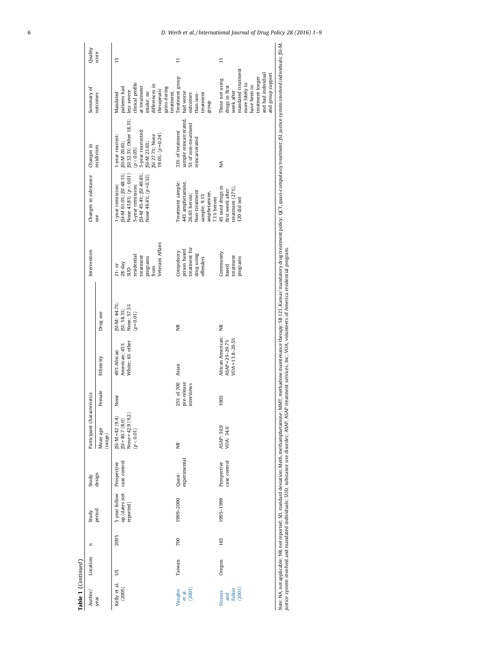| <b>Table 1</b> (Continued)        |          |      |                                             |                             |                                                                        |                                         |                                                                  |                                                           |                                                                                                            |                                                                                                                                                          |                                                                                                                                                           |                                                                                                                                                                        |                |
|-----------------------------------|----------|------|---------------------------------------------|-----------------------------|------------------------------------------------------------------------|-----------------------------------------|------------------------------------------------------------------|-----------------------------------------------------------|------------------------------------------------------------------------------------------------------------|----------------------------------------------------------------------------------------------------------------------------------------------------------|-----------------------------------------------------------------------------------------------------------------------------------------------------------|------------------------------------------------------------------------------------------------------------------------------------------------------------------------|----------------|
| Author/                           | Location | E    | Study                                       | Study<br>design             | Participant characteristics                                            |                                         |                                                                  |                                                           | Intervention                                                                                               | Changes in substance                                                                                                                                     | Changes in                                                                                                                                                | Summary of                                                                                                                                                             | Quality        |
| year                              |          |      | period                                      |                             | Mean age<br>(range)                                                    | Female                                  | Ethnicity                                                        | Drug use                                                  |                                                                                                            | use                                                                                                                                                      | recidivism                                                                                                                                                | outcomes                                                                                                                                                               | score          |
| Kelly et al.<br>(2005)            | S        | 2095 | 5 year follow<br>up (dates not<br>reported) | case control<br>Prospective | None = $42.9(9.2)$<br>$JSI-M=42(9.4)$<br>$JSI=40.7(8.0)$<br>(p < 0.01) | None                                    | White; 6% other<br>American; 45%<br>49% African                  | [SI-M: 44.7%;<br>None: 57.5%<br>JSI: 58.3%;<br>$(p=0.01)$ | Veterans Affairs<br>residential<br>treatment<br>programs<br>$21 - or$<br>$28 - day$<br>$rac{1}{2}$<br>from | JSI-M 61.0%; JSI 48.1%;<br>JSI-M 45.4%; JSI 49.8%;<br>None $43.8\%$ ; ( $p < 0.01$ )<br>None 46.4%; $(p=0.32)$<br>5-year remission:<br>I-year remission: | JSI 32.3%; Other 18.3%;<br>5-year rearrested:<br>19.0%; $(p = 0.24)$<br>JSI 27.7%; None<br>I-year rearrest:<br>JSI-M 20.6%;<br>JSI-M 23.6%;<br>(p < 0.05) | clinical profile<br>differences in<br>patients had<br>gains during<br>at treatment<br>therapeutic<br>less severe<br>intake; no<br>Mandated                             | $\frac{15}{2}$ |
| et al.<br>$(2003)$<br>Vaughn      | Taiwan   | 700  | 1999-2000                                   | experimental<br>Quasi-      | ž                                                                      | 25% of 700<br>pre-release<br>interviews | Asian                                                            | ž                                                         | treatment for<br>prison based<br>Compulsory<br>drug using<br>offenders                                     | Treatment sample:<br>44% amphetamine,<br>Non-treatment<br>amphetamine,<br>26.6% heroin;<br>sample: 9.1%<br>7.1% heroin                                   | sample reincarcerated,<br>5% of non-treatment<br>33% of treatment<br>reincarcerated                                                                       | Treatment group<br>had worse<br>treatment.<br>than non-<br>outcomes<br>treatment<br>dno.18                                                                             | Ξ              |
| and<br>Falkin $[2001]$<br>Strauss | Oregon   | 165  | 1995-1999                                   | Prospective<br>case control | ASAP: 30.9<br>VOA: 34.0                                                | 100%                                    | African American:<br>$VOA = 13.8 - 20.5%$<br>$ASAP = 25 - 29.7%$ | E                                                         | Community<br>treatment<br>programs<br>based                                                                | 45 used drugs in<br>$:$ reatment $(27%)$<br>first week after<br>120 did not                                                                              | ≸                                                                                                                                                         | mandated treatment<br>and had individual<br>and group support<br>treatment longer<br>Those not using<br>more likely to<br>drugs in first<br>have been in<br>week after | Ξ              |
|                                   |          |      |                                             |                             |                                                                        |                                         |                                                                  |                                                           |                                                                                                            |                                                                                                                                                          |                                                                                                                                                           |                                                                                                                                                                        |                |

Note: NA, not applicable; NR, not reported; SD, standard deviation; Meth, methameiname maintenance therapy; SB 123, Kansas' mandatory drug treatment policy; QCT, quasi-compulsory treatment; JSI, justice system involved ind Note: NA, not applicable; NR, not reported; SD, standard deviation; Meth, methamphetamine; MMT, methadone maintenance therapy; SB 123, Kansas' mandatory drug treatment policy; QCT, quasi-compulsory treatment; JSI, justice justice system involved and mandated individuals; SUD, substance use disorder; ASAP, ASAP treatment services, Inc; VOA, volunteers of America residential program.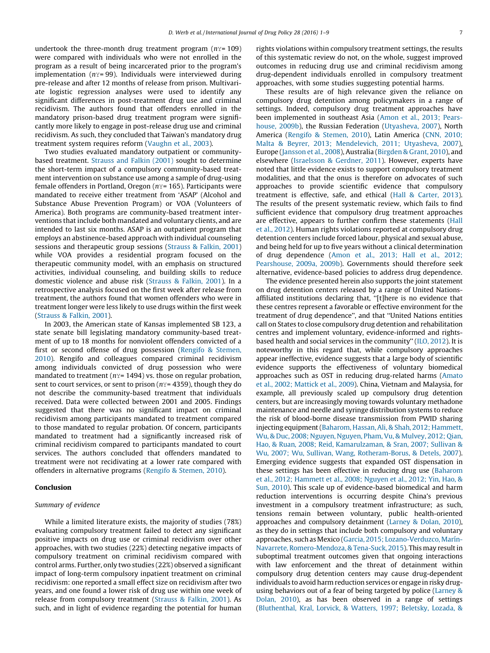undertook the three-month drug treatment program ( $nY=109$ ) were compared with individuals who were not enrolled in the program as a result of being incarcerated prior to the program's implementation ( $nY = 99$ ). Individuals were interviewed during pre-release and after 12 months of release from prison. Multivariate logistic regression analyses were used to identify any significant differences in post-treatment drug use and criminal recidivism. The authors found that offenders enrolled in the mandatory prison-based drug treatment program were significantly more likely to engage in post-release drug use and criminal recidivism. As such, they concluded that Taiwan's mandatory drug treatment system requires reform ([Vaughn](#page-8-0) et al., 2003).

Two studies evaluated mandatory outpatient or communitybased treatment. [Strauss](#page-8-0) and Falkin (2001) sought to determine the short-term impact of a compulsory community-based treatment intervention on substance use among a sample of drug-using female offenders in Portland, Oregon ( $n = 165$ ). Participants were mandated to receive either treatment from 'ASAP' (Alcohol and Substance Abuse Prevention Program) or VOA (Volunteers of America). Both programs are community-based treatment interventions that include both mandated and voluntary clients, and are intended to last six months. ASAP is an outpatient program that employs an abstinence-based approach with individual counseling sessions and therapeutic group sessions ([Strauss](#page-8-0) & Falkin, 2001) while VOA provides a residential program focused on the therapeutic community model, with an emphasis on structured activities, individual counseling, and building skills to reduce domestic violence and abuse risk [\(Strauss](#page-8-0) & Falkin, 2001). In a retrospective analysis focused on the first week after release from treatment, the authors found that women offenders who were in treatment longer were less likely to use drugs within the first week ([Strauss](#page-8-0) & Falkin, 2001).

In 2003, the American state of Kansas implemented SB 123, a state senate bill legislating mandatory community-based treatment of up to 18 months for nonviolent offenders convicted of a first or second offense of drug possession (Rengifo & [Stemen,](#page-8-0) [2010\)](#page-8-0). Rengifo and colleagues compared criminal recidivism among individuals convicted of drug possession who were mandated to treatment ( $n = 1494$ ) vs. those on regular probation, sent to court services, or sent to prison ( $n = 4359$ ), though they do not describe the community-based treatment that individuals received. Data were collected between 2001 and 2005. Findings suggested that there was no significant impact on criminal recidivism among participants mandated to treatment compared to those mandated to regular probation. Of concern, participants mandated to treatment had a significantly increased risk of criminal recidivism compared to participants mandated to court services. The authors concluded that offenders mandated to treatment were not recidivating at a lower rate compared with offenders in alternative programs (Rengifo & [Stemen,](#page-8-0) 2010).

## Conclusion

## Summary of evidence

While a limited literature exists, the majority of studies (78%) evaluating compulsory treatment failed to detect any significant positive impacts on drug use or criminal recidivism over other approaches, with two studies (22%) detecting negative impacts of compulsory treatment on criminal recidivism compared with control arms. Further, only two studies (22%) observed a significant impact of long-term compulsory inpatient treatment on criminal recidivism: one reported a small effect size on recidivism after two years, and one found a lower risk of drug use within one week of release from compulsory treatment [\(Strauss](#page-8-0) & Falkin, 2001). As such, and in light of evidence regarding the potential for human

rights violations within compulsory treatment settings, the results of this systematic review do not, on the whole, suggest improved outcomes in reducing drug use and criminal recidivism among drug-dependent individuals enrolled in compulsory treatment approaches, with some studies suggesting potential harms.

These results are of high relevance given the reliance on compulsory drug detention among policymakers in a range of settings. Indeed, compulsory drug treatment approaches have been implemented in southeast Asia (Amon et al., 2013; [Pears](#page-8-0)house, [2009b\)](#page-8-0), the Russian Federation ([Utyasheva,](#page-8-0) 2007), North America (Rengifo & [Stemen,](#page-8-0) 2010), Latin America (CNN, [2010;](#page-8-0) Malta & Beyrer, 2013; [Mendelevich,](#page-8-0) 2011; Utyasheva, 2007), Europe [\(Jansson](#page-8-0) et al., 2008), Australia [\(Birgden](#page-8-0) & Grant, 2010), and elsewhere [\(Israelsson](#page-7-0) & Gerdner, 2011). However, experts have noted that little evidence exists to support compulsory treatment modalities, and that the onus is therefore on advocates of such approaches to provide scientific evidence that compulsory treatment is effective, safe, and ethical (Hall & [Carter,](#page-8-0) 2013). The results of the present systematic review, which fails to find sufficient evidence that compulsory drug treatment approaches are effective, appears to further confirm these statements [\(Hall](#page-8-0) et al., [2012\)](#page-8-0). Human rights violations reported at compulsory drug detention centers include forced labour, physical and sexual abuse, and being held for up to five years without a clinical determination of drug dependence [\(Amon](#page-8-0) et al., 2013; Hall et al., 2012; [Pearshouse,](#page-8-0) 2009a, 2009b). Governments should therefore seek alternative, evidence-based policies to address drug dependence.

The evidence presented herein also supports the joint statement on drug detention centers released by a range of United Nationsaffiliated institutions declaring that, ''[t]here is no evidence that these centres represent a favorable or effective environment for the treatment of drug dependence'', and that ''United Nations entities call on States to close compulsory drug detention and rehabilitation centres and implement voluntary, evidence-informed and rightsbased health and social services in the community'' (ILO, [2012](#page-8-0)). It is noteworthy in this regard that, while compulsory approaches appear ineffective, evidence suggests that a large body of scientific evidence supports the effectiveness of voluntary biomedical approaches such as OST in reducing drug-related harms ([Amato](#page-7-0) et al., 2002; [Mattick](#page-7-0) et al., 2009). China, Vietnam and Malaysia, for example, all previously scaled up compulsory drug detention centers, but are increasingly moving towards voluntary methadone maintenance and needle and syringe distribution systems to reduce the risk of blood-borne disease transmission from PWID sharing injecting equipment (Baharom, Hassan, Ali, & Shah, 2012; Hammett, Wu, & Duc, 2008; [Nguyen,](#page-8-0) Nguyen, Pham, Vu,& Mulvey, 2012; Qian, Hao, & Ruan, 2008; Reid, [Kamarulzaman,](#page-8-0) & Sran, 2007; Sullivan & Wu, 2007; Wu, Sullivan, Wang, [Rotheram-Borus,](#page-8-0) & Detels, 2007). Emerging evidence suggests that expanded OST dispensation in these settings has been effective in reducing drug use ([Baharom](#page-8-0) et al., 2012; [Hammett](#page-8-0) et al., 2008; Nguyen et al., 2012; Yin, Hao, & Sun, [2010](#page-8-0)). This scale up of evidence-based biomedical and harm reduction interventions is occurring despite China's previous investment in a compulsory treatment infrastructure; as such, tensions remain between voluntary, public health-oriented approaches and compulsory detainment [\(Larney](#page-8-0) & Dolan, 2010), as they do in settings that include both compulsory and voluntary approaches, such as Mexico (Garcia, 2015; [Lozano-Verduzco,](#page-8-0) Marín-Navarrete, [Romero-Mendoza,&Tena-Suck,](#page-8-0) 2015). This may resultin suboptimal treatment outcomes given that ongoing interactions with law enforcement and the threat of detainment within compulsory drug detention centers may cause drug-dependent individuals to avoid harm reduction services or engage in risky drugusing behaviors out of a fear of being targeted by police [\(Larney](#page-8-0) & [Dolan,](#page-8-0) 2010), as has been observed in a range of settings ([Bluthenthal,](#page-8-0) Kral, Lorvick, & Watters, 1997; Beletsky, Lozada, &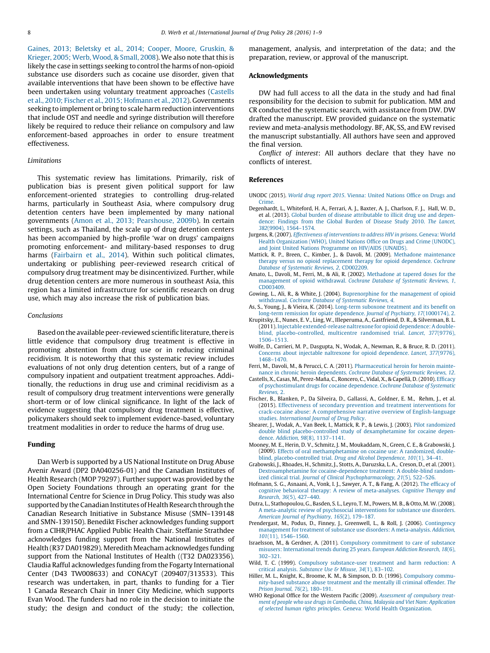<span id="page-7-0"></span>Gaines, 2013; [Beletsky](#page-8-0) et al., 2014; Cooper, Moore, Gruskin, & [Krieger,](#page-8-0) 2005; Werb, Wood, & Small, 2008). We also note that this is likely the case in settings seeking to control the harms of non-opioid substance use disorders such as cocaine use disorder, given that available interventions that have been shown to be effective have been undertaken using voluntary treatment approaches (Castells et al., 2010; Fischer et al., 2015; Hofmann et al., 2012). Governments seeking to implement or bring to scale harm reduction interventions that include OST and needle and syringe distribution will therefore likely be required to reduce their reliance on compulsory and law enforcement-based approaches in order to ensure treatment effectiveness.

## Limitations

This systematic review has limitations. Primarily, risk of publication bias is present given political support for law enforcement-oriented strategies to controlling drug-related harms, particularly in Southeast Asia, where compulsory drug detention centers have been implemented by many national governments (Amon et al., 2013; [Pearshouse,](#page-8-0) 2009b). In certain settings, such as Thailand, the scale up of drug detention centers has been accompanied by high-profile 'war on drugs' campaigns promoting enforcement- and military-based responses to drug harms ([Fairbairn](#page-8-0) et al., 2014). Within such political climates, undertaking or publishing peer-reviewed research critical of compulsory drug treatment may be disincentivized. Further, while drug detention centers are more numerous in southeast Asia, this region has a limited infrastructure for scientific research on drug use, which may also increase the risk of publication bias.

## Conclusions

Based on the available peer-reviewed scientific literature, there is little evidence that compulsory drug treatment is effective in promoting abstention from drug use or in reducing criminal recidivism. It is noteworthy that this systematic review includes evaluations of not only drug detention centers, but of a range of compulsory inpatient and outpatient treatment approaches. Additionally, the reductions in drug use and criminal recidivism as a result of compulsory drug treatment interventions were generally short-term or of low clinical significance. In light of the lack of evidence suggesting that compulsory drug treatment is effective, policymakers should seek to implement evidence-based, voluntary treatment modalities in order to reduce the harms of drug use.

## Funding

Dan Werb is supported by a US National Institute on Drug Abuse Avenir Award (DP2 DA040256-01) and the Canadian Institutes of Health Research (MOP 79297). Further support was provided by the Open Society Foundations through an operating grant for the International Centre for Science in Drug Policy. This study was also supported by the Canadian Institutes of Health Research through the Canadian Research Initiative in Substance Misuse (SMN–139148 and SMN-139150). Benedikt Fischer acknowledges funding support from a CIHR/PHAC Applied Public Health Chair. Steffanie Strathdee acknowledges funding support from the National Institutes of Health (R37 DA019829). Meredith Meacham acknowledges funding support from the National Institutes of Health ((T32 DA023356). Claudia Rafful acknowledges funding from the Fogarty International Center (D43 TW008633) and CONACyT (209407/313533). This research was undertaken, in part, thanks to funding for a Tier 1 Canada Research Chair in Inner City Medicine, which supports Evan Wood. The funders had no role in the decision to initiate the study; the design and conduct of the study; the collection,

management, analysis, and interpretation of the data; and the preparation, review, or approval of the manuscript.

#### Acknowledgments

DW had full access to all the data in the study and had final responsibility for the decision to submit for publication. MM and CR conducted the systematic search, with assistance from DW. DW drafted the manuscript. EW provided guidance on the systematic review and meta-analysis methodology. BF, AK, SS, and EW revised the manuscript substantially. All authors have seen and approved the final version.

Conflict of interest: All authors declare that they have no conflicts of interest.

### References

- UNODC (2015). World drug report 2015. [Vienna:](http://refhub.elsevier.com/S0955-3959(15)00358-8/sbref0005) United Nations Office on Drugs and **[Crime](http://refhub.elsevier.com/S0955-3959(15)00358-8/sbref0005)**
- Degenhardt, L., Whiteford, H. A., Ferrari, A. J., Baxter, A. J., Charlson, F. J., Hall, W. D., et al. (2013). Global burden of disease [attributable](http://refhub.elsevier.com/S0955-3959(15)00358-8/sbref0010) to illicit drug use and dependence: [Findings](http://refhub.elsevier.com/S0955-3959(15)00358-8/sbref0010) from the Global Burden of Disease Study 2010. The Lancet, 382(9904), [1564–1574.](http://refhub.elsevier.com/S0955-3959(15)00358-8/sbref0010)
- Jurgens, R. (2007). Effectiveness of [interventions](http://refhub.elsevier.com/S0955-3959(15)00358-8/sbref0015) to address HIV in prisons. Geneva: World Health [Organization](http://refhub.elsevier.com/S0955-3959(15)00358-8/sbref0015) (WHO), United Nations Office on Drugs and Crime (UNODC), and Joint United Nations [Programme](http://refhub.elsevier.com/S0955-3959(15)00358-8/sbref0015) on HIV/AIDS (UNAIDS).
- Mattick, R. P., Breen, C., Kimber, J., & Davoli, M. (2009). Methadone [maintenance](http://refhub.elsevier.com/S0955-3959(15)00358-8/sbref0020) therapy versus no opioid replacement therapy for opioid [dependence.](http://refhub.elsevier.com/S0955-3959(15)00358-8/sbref0020) Cochrane Database of [Systematic](http://refhub.elsevier.com/S0955-3959(15)00358-8/sbref0020) Reviews, 2, CD002209.
- Amato, L., Davoli, M., Ferri, M., & Ali, R. (2002). [Methadone](http://refhub.elsevier.com/S0955-3959(15)00358-8/sbref0025) at tapered doses for the [management](http://refhub.elsevier.com/S0955-3959(15)00358-8/sbref0025) of opioid withdrawal. Cochrane Database of Systematic Reviews, 1, [CD003409](http://refhub.elsevier.com/S0955-3959(15)00358-8/sbref0025).
- Gowing, L., Ali, R., & White, J. (2004). [Buprenorphine](http://refhub.elsevier.com/S0955-3959(15)00358-8/sbref0030) for the management of opioid [withdrawal.](http://refhub.elsevier.com/S0955-3959(15)00358-8/sbref0030) Cochrane Database of Systematic Reviews, 4.
- As, S., Young, J., & Vieira, K. (2014). [Long-term](http://refhub.elsevier.com/S0955-3959(15)00358-8/sbref0035) suboxone treatment and its benefit on long-term remission for opiate [dependence.](http://refhub.elsevier.com/S0955-3959(15)00358-8/sbref0035) Journal of Psychiatry, 17(1000174), 2.
- Krupitsky, E., Nunes, E. V., Ling, W., Illeperuma, A., Gastfriend, D. R., & Silverman, B. L. (2011). Injectable [extended-release](http://refhub.elsevier.com/S0955-3959(15)00358-8/sbref0040) naltrexone for opioid dependence: A doubleblind, [placebo-controlled,](http://refhub.elsevier.com/S0955-3959(15)00358-8/sbref0040) multicentre randomised trial. Lancet, 377(9776), [1506–1513](http://refhub.elsevier.com/S0955-3959(15)00358-8/sbref0040).
- Wolfe, D., Carrieri, M. P., Dasgupta, N., Wodak, A., Newman, R., & Bruce, R. D. (2011). Concerns about injectable naltrexone for opioid [dependence.](http://refhub.elsevier.com/S0955-3959(15)00358-8/sbref0045) Lancet, 377(9776), [1468–1470](http://refhub.elsevier.com/S0955-3959(15)00358-8/sbref0045).
- Ferri, M., Davoli, M., & Perucci, C. A. (2011). [Pharmaceutical](http://refhub.elsevier.com/S0955-3959(15)00358-8/sbref0050) heroin for heroin maintenance in chronic heroin [dependents.](http://refhub.elsevier.com/S0955-3959(15)00358-8/sbref0050) Cochrane Database of Systematic Reviews, 12.
- Castells, X., Casas, M., Perez-Maña, C., Roncero, C., Vidal, X., & Capellà, D. (2010). [Efficacy](http://refhub.elsevier.com/S0955-3959(15)00358-8/sbref0055) of [psychostimulant](http://refhub.elsevier.com/S0955-3959(15)00358-8/sbref0055) drugs for cocaine dependence. Cochrane Database of Systematic [Reviews,](http://refhub.elsevier.com/S0955-3959(15)00358-8/sbref0055) 2.
- Fischer, B., Blanken, P., Da Silveira, D., Gallassi, A., Goldner, E. M., Rehm, J., et al. (2015). Effectiveness of secondary prevention and treatment [interventions](http://refhub.elsevier.com/S0955-3959(15)00358-8/sbref0060) for crack-cocaine abuse: A comprehensive narrative overview of [English-language](http://refhub.elsevier.com/S0955-3959(15)00358-8/sbref0060) studies. [International](http://refhub.elsevier.com/S0955-3959(15)00358-8/sbref0060) Journal of Drug Policy.
- Shearer, J., Wodak, A., Van Beek, I., Mattick, R. P., & Lewis, J. (2003). Pilot [randomized](http://refhub.elsevier.com/S0955-3959(15)00358-8/sbref0065) double blind [placebo-controlled](http://refhub.elsevier.com/S0955-3959(15)00358-8/sbref0065) study of dexamphetamine for cocaine dependence. Addiction, 98(8), [1137–1141](http://refhub.elsevier.com/S0955-3959(15)00358-8/sbref0065).
- Mooney, M. E., Herin, D. V., Schmitz, J. M., Moukaddam, N., Green, C. E., & Grabowski, J. (2009). Effects of oral [methamphetamine](http://refhub.elsevier.com/S0955-3959(15)00358-8/sbref0070) on cocaine use: A randomized, doubleblind, [placebo-controlled](http://refhub.elsevier.com/S0955-3959(15)00358-8/sbref0070) trial. Drug and Alcohol Dependence, 101(1), 34-41.
- Grabowski, J., Rhoades, H., Schmitz, J., Stotts, A., Daruzska, L. A., Creson, D., et al. (2001). [Dextroamphetamine](http://refhub.elsevier.com/S0955-3959(15)00358-8/sbref0075) for cocaine-dependence treatment: A double-blind randomized clinical trial. Journal of Clinical [Psychopharmacology,](http://refhub.elsevier.com/S0955-3959(15)00358-8/sbref0075) 21(5), 522–526.
- Hofmann, S. G., Asnaani, A., Vonk, I. J., Sawyer, A. T., & Fang, A. (2012). The [efficacy](http://refhub.elsevier.com/S0955-3959(15)00358-8/sbref0080) of cognitive behavioral therapy: A review of [meta-analyses.](http://refhub.elsevier.com/S0955-3959(15)00358-8/sbref0080) Cognitive Therapy and [Research,](http://refhub.elsevier.com/S0955-3959(15)00358-8/sbref0080) 36(5), 427–440.
- Dutra, L., Stathopoulou, G., Basden, S. L., Leyro, T. M., Powers, M. B., & Otto, M. W.(2008). A [meta-analytic](http://refhub.elsevier.com/S0955-3959(15)00358-8/sbref0085) review of psychosocial interventions for substance use disorders. American Journal of [Psychiatry,](http://refhub.elsevier.com/S0955-3959(15)00358-8/sbref0085) 165(2), 179–187.
- Prendergast, M., Podus, D., Finney, J., Greenwell, L., & Roll, J. (2006). [Contingency](http://refhub.elsevier.com/S0955-3959(15)00358-8/sbref0090) management for treatment of substance use disorders: A [meta-analysis.](http://refhub.elsevier.com/S0955-3959(15)00358-8/sbref0090) Addiction, 101(11), [1546–1560](http://refhub.elsevier.com/S0955-3959(15)00358-8/sbref0090).
- Israelsson, M., & Gerdner, A. (2011). Compulsory [commitment](http://refhub.elsevier.com/S0955-3959(15)00358-8/sbref0095) to care of substance misusers: [International](http://refhub.elsevier.com/S0955-3959(15)00358-8/sbref0095) trends during 25 years. European Addiction Research, 18(6), [302–321.](http://refhub.elsevier.com/S0955-3959(15)00358-8/sbref0095)
- Wild, T. C. (1999). Compulsory [substance-user](http://refhub.elsevier.com/S0955-3959(15)00358-8/sbref0100) treatment and harm reduction: A critical analysis. [Substance](http://refhub.elsevier.com/S0955-3959(15)00358-8/sbref0100) Use & Misuse, 34(1), 83–102.
- Hiller, M. L., Knight, K., Broome, K. M., & Simpson, D. D. (1996). [Compulsory](http://refhub.elsevier.com/S0955-3959(15)00358-8/sbref0105) commu[nity-based](http://refhub.elsevier.com/S0955-3959(15)00358-8/sbref0105) substance abuse treatment and the mentally ill criminal offender. The Prison Journal, 76(2), [180–191](http://refhub.elsevier.com/S0955-3959(15)00358-8/sbref0105).
- WHO Regional Office for the Western Pacific (2009). Assessment of [compulsory](http://refhub.elsevier.com/S0955-3959(15)00358-8/sbref0110) treatment of people who use drugs in Cambodia, China, Malaysia and Viet Nam: [Application](http://refhub.elsevier.com/S0955-3959(15)00358-8/sbref0110) of selected human rights principles. Geneva: World Health [Organization.](http://refhub.elsevier.com/S0955-3959(15)00358-8/sbref0110)